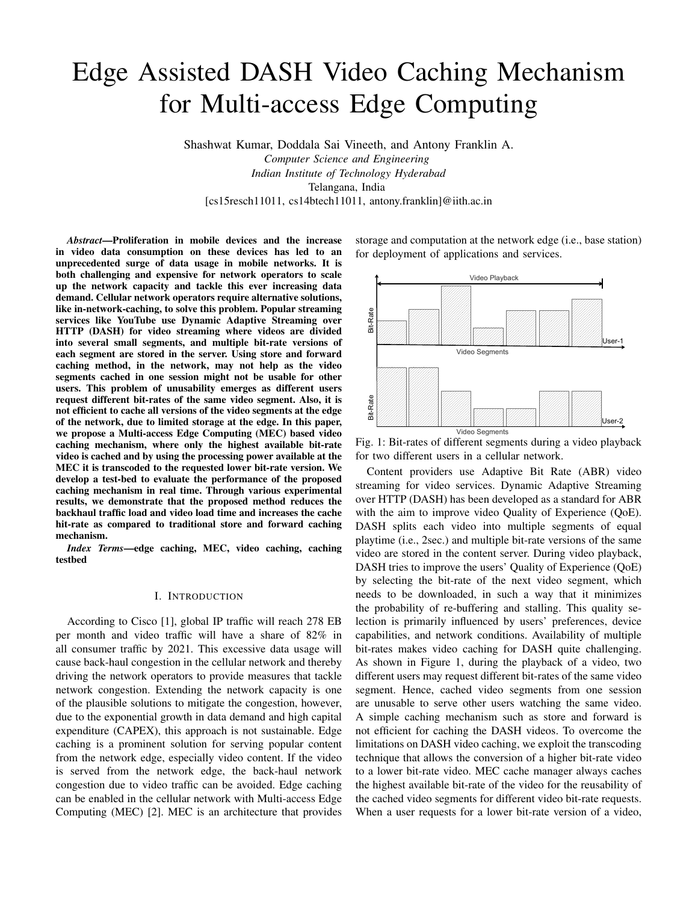# Edge Assisted DASH Video Caching Mechanism for Multi-access Edge Computing

Shashwat Kumar, Doddala Sai Vineeth, and Antony Franklin A. *Computer Science and Engineering Indian Institute of Technology Hyderabad* Telangana, India [cs15resch11011, cs14btech11011, antony.franklin]@iith.ac.in

*Abstract*—Proliferation in mobile devices and the increase in video data consumption on these devices has led to an unprecedented surge of data usage in mobile networks. It is both challenging and expensive for network operators to scale up the network capacity and tackle this ever increasing data demand. Cellular network operators require alternative solutions, like in-network-caching, to solve this problem. Popular streaming services like YouTube use Dynamic Adaptive Streaming over HTTP (DASH) for video streaming where videos are divided into several small segments, and multiple bit-rate versions of each segment are stored in the server. Using store and forward caching method, in the network, may not help as the video segments cached in one session might not be usable for other users. This problem of unusability emerges as different users request different bit-rates of the same video segment. Also, it is not efficient to cache all versions of the video segments at the edge of the network, due to limited storage at the edge. In this paper, we propose a Multi-access Edge Computing (MEC) based video caching mechanism, where only the highest available bit-rate video is cached and by using the processing power available at the MEC it is transcoded to the requested lower bit-rate version. We develop a test-bed to evaluate the performance of the proposed caching mechanism in real time. Through various experimental results, we demonstrate that the proposed method reduces the backhaul traffic load and video load time and increases the cache hit-rate as compared to traditional store and forward caching mechanism.

*Index Terms*—edge caching, MEC, video caching, caching testbed

## I. INTRODUCTION

According to Cisco [1], global IP traffic will reach 278 EB per month and video traffic will have a share of 82% in all consumer traffic by 2021. This excessive data usage will cause back-haul congestion in the cellular network and thereby driving the network operators to provide measures that tackle network congestion. Extending the network capacity is one of the plausible solutions to mitigate the congestion, however, due to the exponential growth in data demand and high capital expenditure (CAPEX), this approach is not sustainable. Edge caching is a prominent solution for serving popular content from the network edge, especially video content. If the video is served from the network edge, the back-haul network congestion due to video traffic can be avoided. Edge caching can be enabled in the cellular network with Multi-access Edge Computing (MEC) [2]. MEC is an architecture that provides storage and computation at the network edge (i.e., base station) for deployment of applications and services.



Fig. 1: Bit-rates of different segments during a video playback for two different users in a cellular network.

Content providers use Adaptive Bit Rate (ABR) video streaming for video services. Dynamic Adaptive Streaming over HTTP (DASH) has been developed as a standard for ABR with the aim to improve video Quality of Experience (QoE). DASH splits each video into multiple segments of equal playtime (i.e., 2sec.) and multiple bit-rate versions of the same video are stored in the content server. During video playback, DASH tries to improve the users' Quality of Experience (QoE) by selecting the bit-rate of the next video segment, which needs to be downloaded, in such a way that it minimizes the probability of re-buffering and stalling. This quality selection is primarily influenced by users' preferences, device capabilities, and network conditions. Availability of multiple bit-rates makes video caching for DASH quite challenging. As shown in Figure 1, during the playback of a video, two different users may request different bit-rates of the same video segment. Hence, cached video segments from one session are unusable to serve other users watching the same video. A simple caching mechanism such as store and forward is not efficient for caching the DASH videos. To overcome the limitations on DASH video caching, we exploit the transcoding technique that allows the conversion of a higher bit-rate video to a lower bit-rate video. MEC cache manager always caches the highest available bit-rate of the video for the reusability of the cached video segments for different video bit-rate requests. When a user requests for a lower bit-rate version of a video,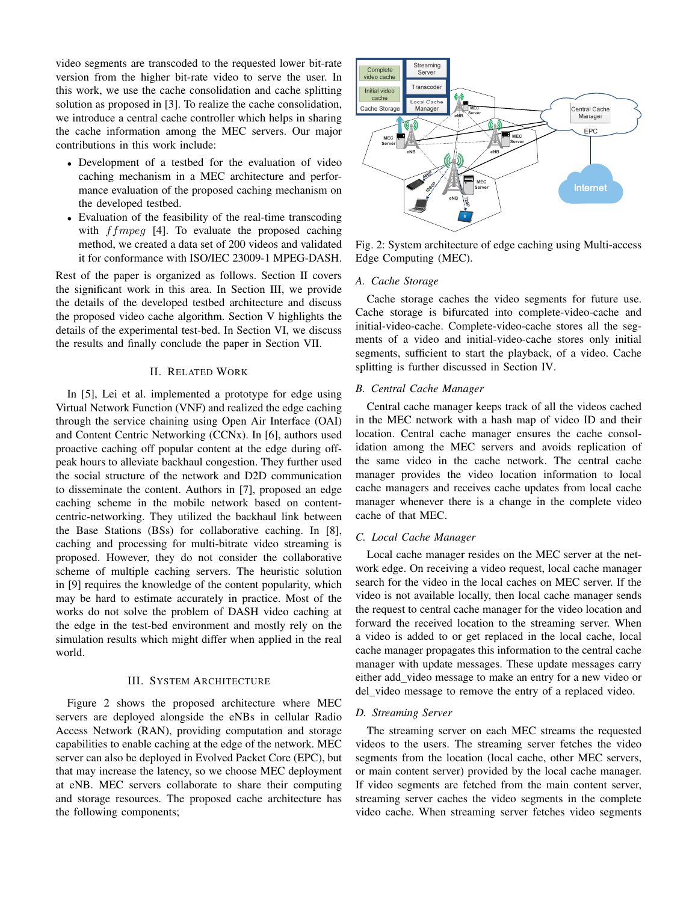video segments are transcoded to the requested lower bit-rate version from the higher bit-rate video to serve the user. In this work, we use the cache consolidation and cache splitting solution as proposed in [3]. To realize the cache consolidation, we introduce a central cache controller which helps in sharing the cache information among the MEC servers. Our major contributions in this work include:

- Development of a testbed for the evaluation of video caching mechanism in a MEC architecture and performance evaluation of the proposed caching mechanism on the developed testbed.
- Evaluation of the feasibility of the real-time transcoding with  $ffmpeg$  [4]. To evaluate the proposed caching method, we created a data set of 200 videos and validated it for conformance with ISO/IEC 23009-1 MPEG-DASH.

Rest of the paper is organized as follows. Section II covers the significant work in this area. In Section III, we provide the details of the developed testbed architecture and discuss the proposed video cache algorithm. Section V highlights the details of the experimental test-bed. In Section VI, we discuss the results and finally conclude the paper in Section VII.

## II. RELATED WORK

In [5], Lei et al. implemented a prototype for edge using Virtual Network Function (VNF) and realized the edge caching through the service chaining using Open Air Interface (OAI) and Content Centric Networking (CCNx). In [6], authors used proactive caching off popular content at the edge during offpeak hours to alleviate backhaul congestion. They further used the social structure of the network and D2D communication to disseminate the content. Authors in [7], proposed an edge caching scheme in the mobile network based on contentcentric-networking. They utilized the backhaul link between the Base Stations (BSs) for collaborative caching. In [8], caching and processing for multi-bitrate video streaming is proposed. However, they do not consider the collaborative scheme of multiple caching servers. The heuristic solution in [9] requires the knowledge of the content popularity, which may be hard to estimate accurately in practice. Most of the works do not solve the problem of DASH video caching at the edge in the test-bed environment and mostly rely on the simulation results which might differ when applied in the real world.

#### III. SYSTEM ARCHITECTURE

Figure 2 shows the proposed architecture where MEC servers are deployed alongside the eNBs in cellular Radio Access Network (RAN), providing computation and storage capabilities to enable caching at the edge of the network. MEC server can also be deployed in Evolved Packet Core (EPC), but that may increase the latency, so we choose MEC deployment at eNB. MEC servers collaborate to share their computing and storage resources. The proposed cache architecture has the following components;



Fig. 2: System architecture of edge caching using Multi-access Edge Computing (MEC).

#### *A. Cache Storage*

Cache storage caches the video segments for future use. Cache storage is bifurcated into complete-video-cache and initial-video-cache. Complete-video-cache stores all the segments of a video and initial-video-cache stores only initial segments, sufficient to start the playback, of a video. Cache splitting is further discussed in Section IV.

#### *B. Central Cache Manager*

Central cache manager keeps track of all the videos cached in the MEC network with a hash map of video ID and their location. Central cache manager ensures the cache consolidation among the MEC servers and avoids replication of the same video in the cache network. The central cache manager provides the video location information to local cache managers and receives cache updates from local cache manager whenever there is a change in the complete video cache of that MEC.

## *C. Local Cache Manager*

Local cache manager resides on the MEC server at the network edge. On receiving a video request, local cache manager search for the video in the local caches on MEC server. If the video is not available locally, then local cache manager sends the request to central cache manager for the video location and forward the received location to the streaming server. When a video is added to or get replaced in the local cache, local cache manager propagates this information to the central cache manager with update messages. These update messages carry either add video message to make an entry for a new video or del video message to remove the entry of a replaced video.

#### *D. Streaming Server*

The streaming server on each MEC streams the requested videos to the users. The streaming server fetches the video segments from the location (local cache, other MEC servers, or main content server) provided by the local cache manager. If video segments are fetched from the main content server, streaming server caches the video segments in the complete video cache. When streaming server fetches video segments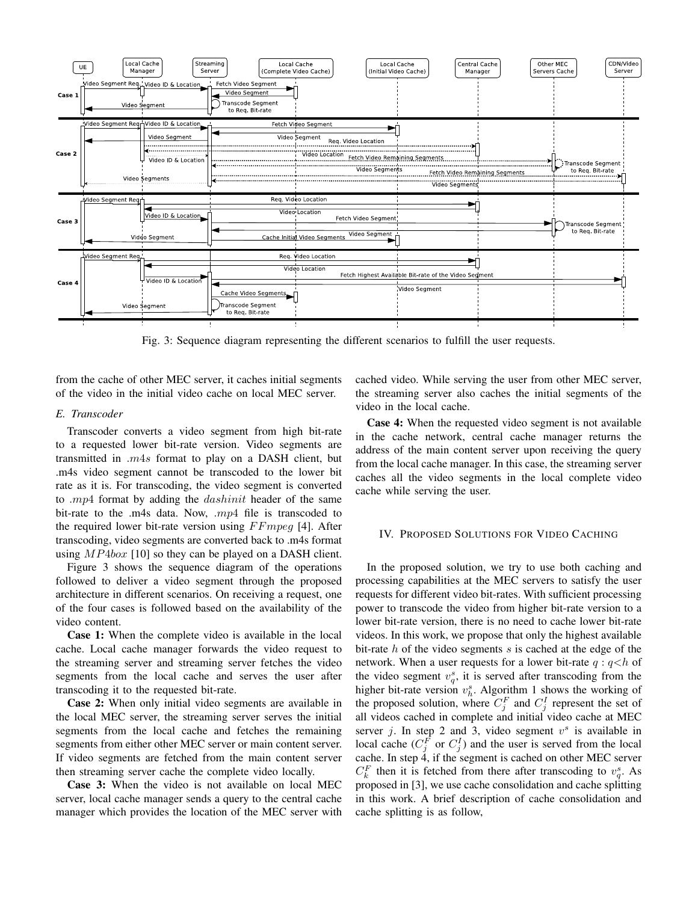

Fig. 3: Sequence diagram representing the different scenarios to fulfill the user requests.

from the cache of other MEC server, it caches initial segments of the video in the initial video cache on local MEC server.

#### *E. Transcoder*

Transcoder converts a video segment from high bit-rate to a requested lower bit-rate version. Video segments are transmitted in .m4s format to play on a DASH client, but .m4s video segment cannot be transcoded to the lower bit rate as it is. For transcoding, the video segment is converted to  $mp4$  format by adding the *dashinit* header of the same bit-rate to the .m4s data. Now, .mp4 file is transcoded to the required lower bit-rate version using  $FFmpeg$  [4]. After transcoding, video segments are converted back to .m4s format using  $MP4box$  [10] so they can be played on a DASH client.

Figure 3 shows the sequence diagram of the operations followed to deliver a video segment through the proposed architecture in different scenarios. On receiving a request, one of the four cases is followed based on the availability of the video content.

Case 1: When the complete video is available in the local cache. Local cache manager forwards the video request to the streaming server and streaming server fetches the video segments from the local cache and serves the user after transcoding it to the requested bit-rate.

Case 2: When only initial video segments are available in the local MEC server, the streaming server serves the initial segments from the local cache and fetches the remaining segments from either other MEC server or main content server. If video segments are fetched from the main content server then streaming server cache the complete video locally.

Case 3: When the video is not available on local MEC server, local cache manager sends a query to the central cache manager which provides the location of the MEC server with cached video. While serving the user from other MEC server, the streaming server also caches the initial segments of the video in the local cache.

Case 4: When the requested video segment is not available in the cache network, central cache manager returns the address of the main content server upon receiving the query from the local cache manager. In this case, the streaming server caches all the video segments in the local complete video cache while serving the user.

#### IV. PROPOSED SOLUTIONS FOR VIDEO CACHING

In the proposed solution, we try to use both caching and processing capabilities at the MEC servers to satisfy the user requests for different video bit-rates. With sufficient processing power to transcode the video from higher bit-rate version to a lower bit-rate version, there is no need to cache lower bit-rate videos. In this work, we propose that only the highest available bit-rate  $h$  of the video segments  $s$  is cached at the edge of the network. When a user requests for a lower bit-rate  $q : q \leq h$  of the video segment  $v_q^s$ , it is served after transcoding from the higher bit-rate version  $v_h^s$ . Algorithm 1 shows the working of the proposed solution, where  $C_j^F$  and  $C_j^I$  represent the set of all videos cached in complete and initial video cache at MEC server  $j$ . In step 2 and 3, video segment  $v^s$  is available in local cache ( $C_j^F$  or  $C_j^I$ ) and the user is served from the local cache. In step 4, if the segment is cached on other MEC server  $C_k^F$  then it is fetched from there after transcoding to  $v_q^s$ . As proposed in [3], we use cache consolidation and cache splitting in this work. A brief description of cache consolidation and cache splitting is as follow,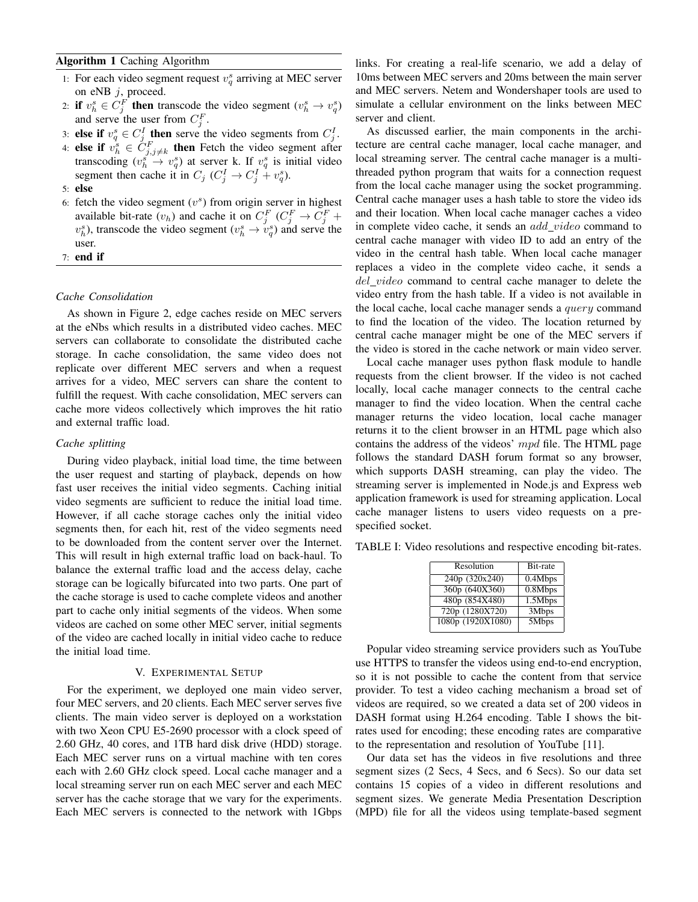# Algorithm 1 Caching Algorithm

- 1: For each video segment request  $v_q^s$  arriving at MEC server on eNB  $j$ , proceed.
- 2: if  $v_h^s \in C_j^F$  then transcode the video segment  $(v_h^s \to v_q^s)$ and serve the user from  $C_j^F$ .
- 3: **else if**  $v_q^s \in C_j^I$  then serve the video segments from  $C_j^I$ .
- 4: else if  $v_h^s \in \tilde{C}_{j,j\neq k}^F$  then Fetch the video segment after transcoding  $(v_h^s \to v_q^s)$  at server k. If  $v_q^s$  is initial video segment then cache it in  $C_j$   $(C_j^I \rightarrow C_j^I + v_q^s)$ .
- 5: else
- 6: fetch the video segment  $(v<sup>s</sup>)$  from origin server in highest available bit-rate  $(v_h)$  and cache it on  $C_j^F$  ( $C_j^F \rightarrow C_j^F$ ) +  $v_h^s$ ), transcode the video segment  $(v_h^s \rightarrow v_q^s)$  and serve the user.
- 7: end if

#### *Cache Consolidation*

As shown in Figure 2, edge caches reside on MEC servers at the eNbs which results in a distributed video caches. MEC servers can collaborate to consolidate the distributed cache storage. In cache consolidation, the same video does not replicate over different MEC servers and when a request arrives for a video, MEC servers can share the content to fulfill the request. With cache consolidation, MEC servers can cache more videos collectively which improves the hit ratio and external traffic load.

#### *Cache splitting*

During video playback, initial load time, the time between the user request and starting of playback, depends on how fast user receives the initial video segments. Caching initial video segments are sufficient to reduce the initial load time. However, if all cache storage caches only the initial video segments then, for each hit, rest of the video segments need to be downloaded from the content server over the Internet. This will result in high external traffic load on back-haul. To balance the external traffic load and the access delay, cache storage can be logically bifurcated into two parts. One part of the cache storage is used to cache complete videos and another part to cache only initial segments of the videos. When some videos are cached on some other MEC server, initial segments of the video are cached locally in initial video cache to reduce the initial load time.

#### V. EXPERIMENTAL SETUP

For the experiment, we deployed one main video server, four MEC servers, and 20 clients. Each MEC server serves five clients. The main video server is deployed on a workstation with two Xeon CPU E5-2690 processor with a clock speed of 2.60 GHz, 40 cores, and 1TB hard disk drive (HDD) storage. Each MEC server runs on a virtual machine with ten cores each with 2.60 GHz clock speed. Local cache manager and a local streaming server run on each MEC server and each MEC server has the cache storage that we vary for the experiments. Each MEC servers is connected to the network with 1Gbps links. For creating a real-life scenario, we add a delay of 10ms between MEC servers and 20ms between the main server and MEC servers. Netem and Wondershaper tools are used to simulate a cellular environment on the links between MEC server and client.

As discussed earlier, the main components in the architecture are central cache manager, local cache manager, and local streaming server. The central cache manager is a multithreaded python program that waits for a connection request from the local cache manager using the socket programming. Central cache manager uses a hash table to store the video ids and their location. When local cache manager caches a video in complete video cache, it sends an add\_video command to central cache manager with video ID to add an entry of the video in the central hash table. When local cache manager replaces a video in the complete video cache, it sends a del\_video command to central cache manager to delete the video entry from the hash table. If a video is not available in the local cache, local cache manager sends a query command to find the location of the video. The location returned by central cache manager might be one of the MEC servers if the video is stored in the cache network or main video server.

Local cache manager uses python flask module to handle requests from the client browser. If the video is not cached locally, local cache manager connects to the central cache manager to find the video location. When the central cache manager returns the video location, local cache manager returns it to the client browser in an HTML page which also contains the address of the videos'  $mpd$  file. The HTML page follows the standard DASH forum format so any browser, which supports DASH streaming, can play the video. The streaming server is implemented in Node.js and Express web application framework is used for streaming application. Local cache manager listens to users video requests on a prespecified socket.

TABLE I: Video resolutions and respective encoding bit-rates.

| Resolution        | Bit-rate |
|-------------------|----------|
| 240p (320x240)    | 0.4Mbps  |
| 360p (640X360)    | 0.8Mbps  |
| 480p (854X480)    | 1.5Mbps  |
| 720p (1280X720)   | 3Mbps    |
| 1080p (1920X1080) | 5Mbps    |
|                   |          |

Popular video streaming service providers such as YouTube use HTTPS to transfer the videos using end-to-end encryption, so it is not possible to cache the content from that service provider. To test a video caching mechanism a broad set of videos are required, so we created a data set of 200 videos in DASH format using H.264 encoding. Table I shows the bitrates used for encoding; these encoding rates are comparative to the representation and resolution of YouTube [11].

Our data set has the videos in five resolutions and three segment sizes (2 Secs, 4 Secs, and 6 Secs). So our data set contains 15 copies of a video in different resolutions and segment sizes. We generate Media Presentation Description (MPD) file for all the videos using template-based segment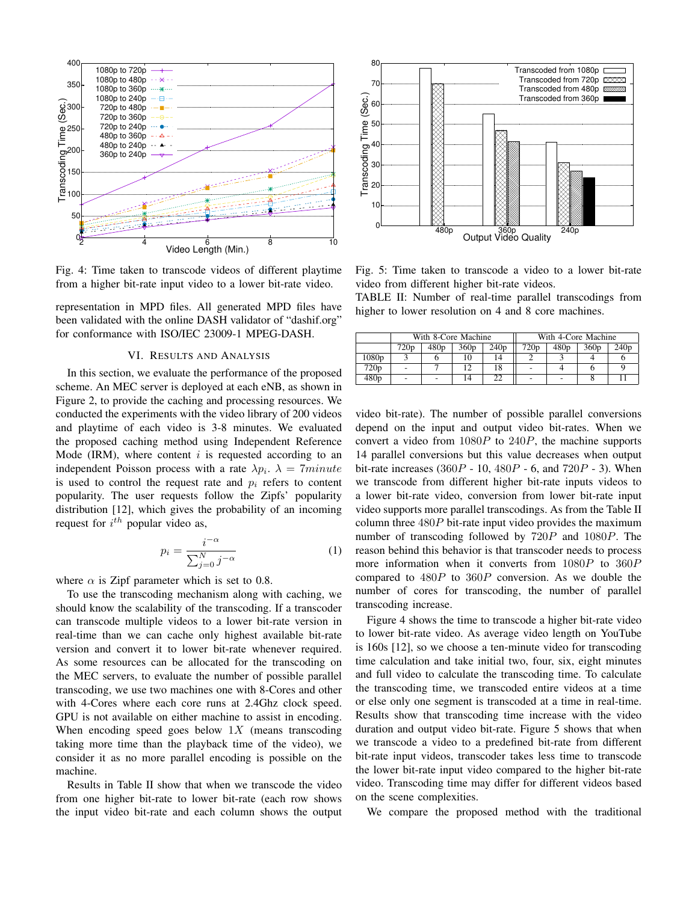

Fig. 4: Time taken to transcode videos of different playtime from a higher bit-rate input video to a lower bit-rate video.

representation in MPD files. All generated MPD files have been validated with the online DASH validator of "dashif.org" for conformance with ISO/IEC 23009-1 MPEG-DASH.

## VI. RESULTS AND ANALYSIS

In this section, we evaluate the performance of the proposed scheme. An MEC server is deployed at each eNB, as shown in Figure 2, to provide the caching and processing resources. We conducted the experiments with the video library of 200 videos and playtime of each video is 3-8 minutes. We evaluated the proposed caching method using Independent Reference Mode (IRM), where content  $i$  is requested according to an independent Poisson process with a rate  $\lambda p_i$ .  $\lambda = 7 minute$ is used to control the request rate and  $p_i$  refers to content popularity. The user requests follow the Zipfs' popularity distribution [12], which gives the probability of an incoming request for  $i^{th}$  popular video as,

$$
p_i = \frac{i^{-\alpha}}{\sum_{j=0}^{N} j^{-\alpha}} \tag{1}
$$

where  $\alpha$  is Zipf parameter which is set to 0.8.

To use the transcoding mechanism along with caching, we should know the scalability of the transcoding. If a transcoder can transcode multiple videos to a lower bit-rate version in real-time than we can cache only highest available bit-rate version and convert it to lower bit-rate whenever required. As some resources can be allocated for the transcoding on the MEC servers, to evaluate the number of possible parallel transcoding, we use two machines one with 8-Cores and other with 4-Cores where each core runs at 2.4Ghz clock speed. GPU is not available on either machine to assist in encoding. When encoding speed goes below  $1X$  (means transcoding taking more time than the playback time of the video), we consider it as no more parallel encoding is possible on the machine.

Results in Table II show that when we transcode the video from one higher bit-rate to lower bit-rate (each row shows the input video bit-rate and each column shows the output



Fig. 5: Time taken to transcode a video to a lower bit-rate video from different higher bit-rate videos.

TABLE II: Number of real-time parallel transcodings from higher to lower resolution on 4 and 8 core machines.

|       | With 8-Core Machine |      |                  |      | With 4-Core Machine |      |                  |                  |
|-------|---------------------|------|------------------|------|---------------------|------|------------------|------------------|
|       | 720p                | 480p | 360 <sub>p</sub> | 240p | 720p                | 480p | 360 <sub>p</sub> | 240 <sub>p</sub> |
| 1080p |                     |      |                  |      |                     |      |                  |                  |
| 720p  |                     |      |                  | 18   |                     |      |                  |                  |
| .80p  |                     |      | 14               |      |                     |      |                  |                  |

video bit-rate). The number of possible parallel conversions depend on the input and output video bit-rates. When we convert a video from  $1080P$  to  $240P$ , the machine supports 14 parallel conversions but this value decreases when output bit-rate increases (360P - 10, 480P - 6, and  $720P - 3$ ). When we transcode from different higher bit-rate inputs videos to a lower bit-rate video, conversion from lower bit-rate input video supports more parallel transcodings. As from the Table II column three  $480P$  bit-rate input video provides the maximum number of transcoding followed by 720P and 1080P. The reason behind this behavior is that transcoder needs to process more information when it converts from 1080P to 360P compared to  $480P$  to  $360P$  conversion. As we double the number of cores for transcoding, the number of parallel transcoding increase.

Figure 4 shows the time to transcode a higher bit-rate video to lower bit-rate video. As average video length on YouTube is 160s [12], so we choose a ten-minute video for transcoding time calculation and take initial two, four, six, eight minutes and full video to calculate the transcoding time. To calculate the transcoding time, we transcoded entire videos at a time or else only one segment is transcoded at a time in real-time. Results show that transcoding time increase with the video duration and output video bit-rate. Figure 5 shows that when we transcode a video to a predefined bit-rate from different bit-rate input videos, transcoder takes less time to transcode the lower bit-rate input video compared to the higher bit-rate video. Transcoding time may differ for different videos based on the scene complexities.

We compare the proposed method with the traditional